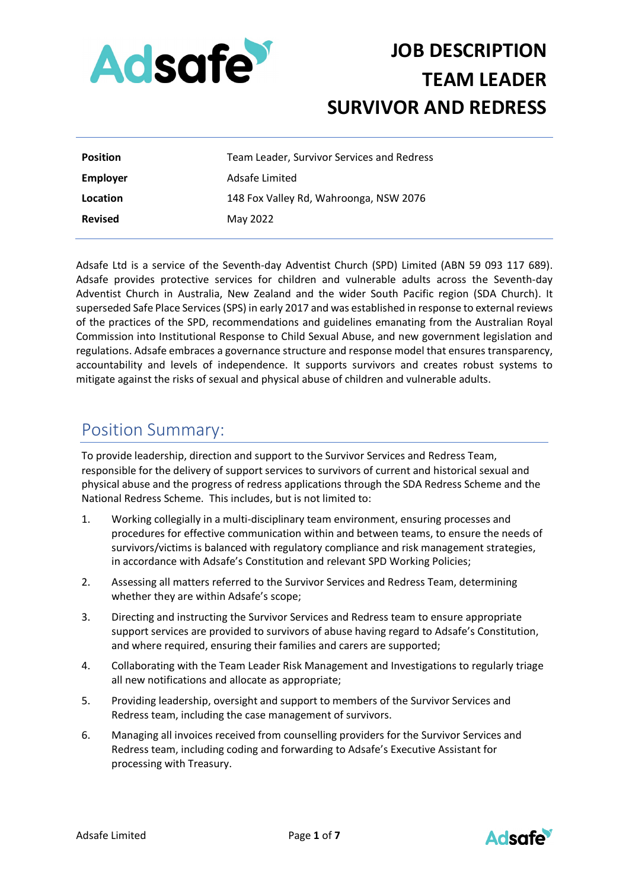

| <b>Position</b> | Team Leader, Survivor Services and Redress |
|-----------------|--------------------------------------------|
| <b>Employer</b> | Adsafe Limited                             |
| Location        | 148 Fox Valley Rd, Wahroonga, NSW 2076     |
| <b>Revised</b>  | May 2022                                   |

Adsafe Ltd is a service of the Seventh-day Adventist Church (SPD) Limited (ABN 59 093 117 689). Adsafe provides protective services for children and vulnerable adults across the Seventh-day Adventist Church in Australia, New Zealand and the wider South Pacific region (SDA Church). It superseded Safe Place Services (SPS) in early 2017 and was established in response to external reviews of the practices of the SPD, recommendations and guidelines emanating from the Australian Royal Commission into Institutional Response to Child Sexual Abuse, and new government legislation and regulations. Adsafe embraces a governance structure and response model that ensures transparency, accountability and levels of independence. It supports survivors and creates robust systems to mitigate against the risks of sexual and physical abuse of children and vulnerable adults.

### Position Summary:

To provide leadership, direction and support to the Survivor Services and Redress Team, responsible for the delivery of support services to survivors of current and historical sexual and physical abuse and the progress of redress applications through the SDA Redress Scheme and the National Redress Scheme. This includes, but is not limited to:

- 1. Working collegially in a multi-disciplinary team environment, ensuring processes and procedures for effective communication within and between teams, to ensure the needs of survivors/victims is balanced with regulatory compliance and risk management strategies, in accordance with Adsafe's Constitution and relevant SPD Working Policies;
- 2. Assessing all matters referred to the Survivor Services and Redress Team, determining whether they are within Adsafe's scope;
- 3. Directing and instructing the Survivor Services and Redress team to ensure appropriate support services are provided to survivors of abuse having regard to Adsafe's Constitution, and where required, ensuring their families and carers are supported;
- 4. Collaborating with the Team Leader Risk Management and Investigations to regularly triage all new notifications and allocate as appropriate;
- 5. Providing leadership, oversight and support to members of the Survivor Services and Redress team, including the case management of survivors.
- 6. Managing all invoices received from counselling providers for the Survivor Services and Redress team, including coding and forwarding to Adsafe's Executive Assistant for processing with Treasury.

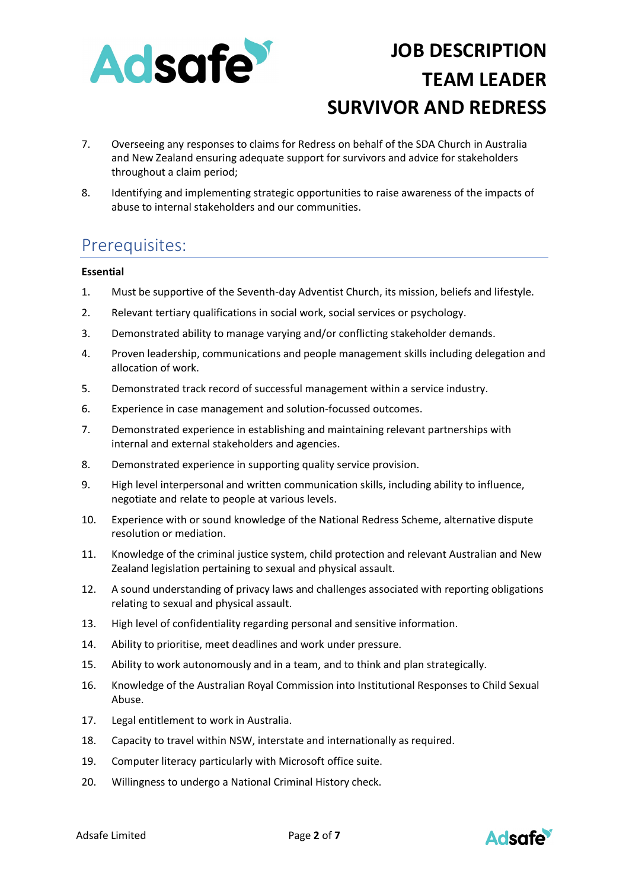

- 7. Overseeing any responses to claims for Redress on behalf of the SDA Church in Australia and New Zealand ensuring adequate support for survivors and advice for stakeholders throughout a claim period;
- 8. Identifying and implementing strategic opportunities to raise awareness of the impacts of abuse to internal stakeholders and our communities.

## Prerequisites:

### **Essential**

- 1. Must be supportive of the Seventh-day Adventist Church, its mission, beliefs and lifestyle.
- 2. Relevant tertiary qualifications in social work, social services or psychology.
- 3. Demonstrated ability to manage varying and/or conflicting stakeholder demands.
- 4. Proven leadership, communications and people management skills including delegation and allocation of work.
- 5. Demonstrated track record of successful management within a service industry.
- 6. Experience in case management and solution-focussed outcomes.
- 7. Demonstrated experience in establishing and maintaining relevant partnerships with internal and external stakeholders and agencies.
- 8. Demonstrated experience in supporting quality service provision.
- 9. High level interpersonal and written communication skills, including ability to influence, negotiate and relate to people at various levels.
- 10. Experience with or sound knowledge of the National Redress Scheme, alternative dispute resolution or mediation.
- 11. Knowledge of the criminal justice system, child protection and relevant Australian and New Zealand legislation pertaining to sexual and physical assault.
- 12. A sound understanding of privacy laws and challenges associated with reporting obligations relating to sexual and physical assault.
- 13. High level of confidentiality regarding personal and sensitive information.
- 14. Ability to prioritise, meet deadlines and work under pressure.
- 15. Ability to work autonomously and in a team, and to think and plan strategically.
- 16. Knowledge of the Australian Royal Commission into Institutional Responses to Child Sexual Abuse.
- 17. Legal entitlement to work in Australia.
- 18. Capacity to travel within NSW, interstate and internationally as required.
- 19. Computer literacy particularly with Microsoft office suite.
- 20. Willingness to undergo a National Criminal History check.

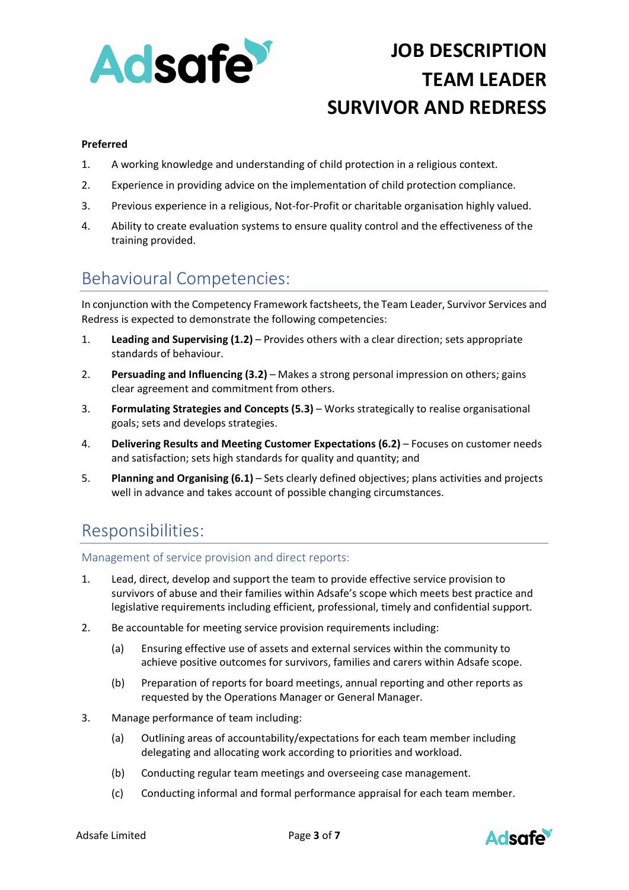

### **Preferred**

- 1. A working knowledge and understanding of child protection in a religious context.
- 2. Experience in providing advice on the implementation of child protection compliance.
- 3. Previous experience in a religious, Not-for-Profit or charitable organisation highly valued.
- 4. Ability to create evaluation systems to ensure quality control and the effectiveness of the training provided.

## Behavioural Competencies:

In conjunction with the Competency Framework factsheets, the Team Leader, Survivor Services and Redress is expected to demonstrate the following competencies:

- 1. **Leading and Supervising (1.2)** Provides others with a clear direction; sets appropriate standards of behaviour.
- 2. **Persuading and Influencing (3.2)** Makes a strong personal impression on others; gains clear agreement and commitment from others.
- 3. **Formulating Strategies and Concepts (5.3)** Works strategically to realise organisational goals; sets and develops strategies.
- 4. **Delivering Results and Meeting Customer Expectations (6.2)** Focuses on customer needs and satisfaction; sets high standards for quality and quantity; and
- 5. **Planning and Organising (6.1)** Sets clearly defined objectives; plans activities and projects well in advance and takes account of possible changing circumstances.

## Responsibilities:

Management of service provision and direct reports:

- 1. Lead, direct, develop and support the team to provide effective service provision to survivors of abuse and their families within Adsafe's scope which meets best practice and legislative requirements including efficient, professional, timely and confidential support.
- 2. Be accountable for meeting service provision requirements including:
	- (a) Ensuring effective use of assets and external services within the community to achieve positive outcomes for survivors, families and carers within Adsafe scope.
	- (b) Preparation of reports for board meetings, annual reporting and other reports as requested by the Operations Manager or General Manager.
- 3. Manage performance of team including:
	- (a) Outlining areas of accountability/expectations for each team member including delegating and allocating work according to priorities and workload.
	- (b) Conducting regular team meetings and overseeing case management.
	- (c) Conducting informal and formal performance appraisal for each team member.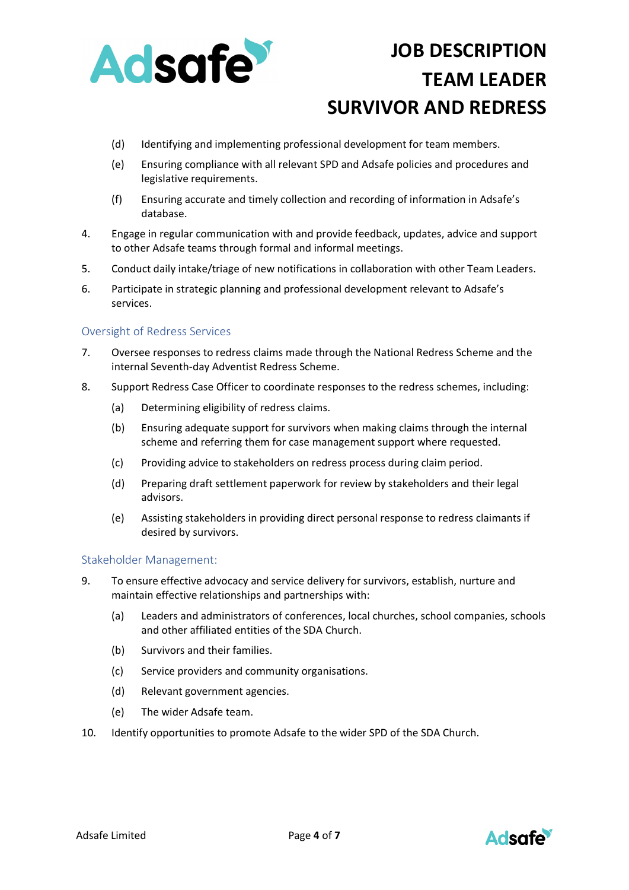

- (d) Identifying and implementing professional development for team members.
- (e) Ensuring compliance with all relevant SPD and Adsafe policies and procedures and legislative requirements.
- (f) Ensuring accurate and timely collection and recording of information in Adsafe's database.
- 4. Engage in regular communication with and provide feedback, updates, advice and support to other Adsafe teams through formal and informal meetings.
- 5. Conduct daily intake/triage of new notifications in collaboration with other Team Leaders.
- 6. Participate in strategic planning and professional development relevant to Adsafe's services.

### Oversight of Redress Services

- 7. Oversee responses to redress claims made through the National Redress Scheme and the internal Seventh-day Adventist Redress Scheme.
- 8. Support Redress Case Officer to coordinate responses to the redress schemes, including:
	- (a) Determining eligibility of redress claims.
	- (b) Ensuring adequate support for survivors when making claims through the internal scheme and referring them for case management support where requested.
	- (c) Providing advice to stakeholders on redress process during claim period.
	- (d) Preparing draft settlement paperwork for review by stakeholders and their legal advisors.
	- (e) Assisting stakeholders in providing direct personal response to redress claimants if desired by survivors.

### Stakeholder Management:

- 9. To ensure effective advocacy and service delivery for survivors, establish, nurture and maintain effective relationships and partnerships with:
	- (a) Leaders and administrators of conferences, local churches, school companies, schools and other affiliated entities of the SDA Church.
	- (b) Survivors and their families.
	- (c) Service providers and community organisations.
	- (d) Relevant government agencies.
	- (e) The wider Adsafe team.
- 10. Identify opportunities to promote Adsafe to the wider SPD of the SDA Church.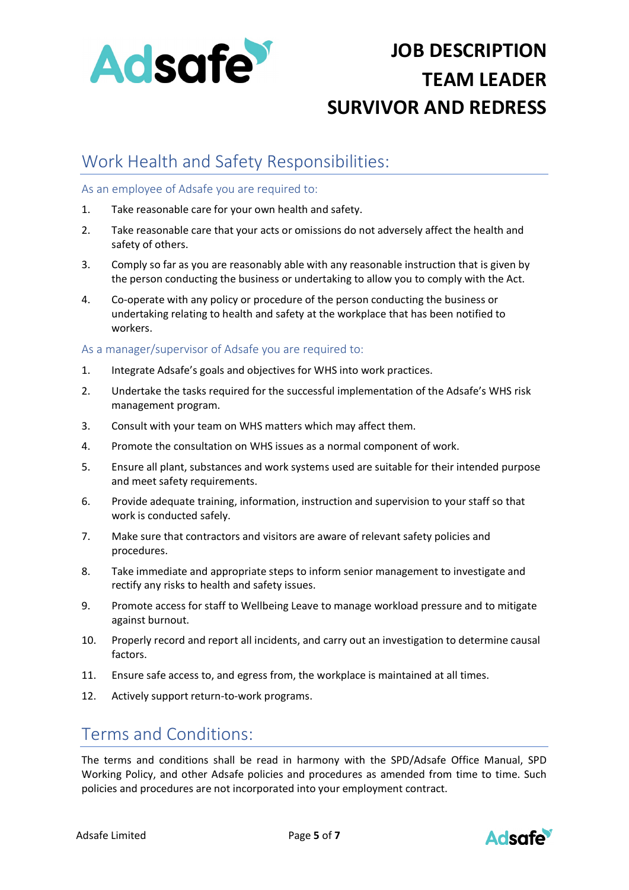

## Work Health and Safety Responsibilities:

### As an employee of Adsafe you are required to:

- 1. Take reasonable care for your own health and safety.
- 2. Take reasonable care that your acts or omissions do not adversely affect the health and safety of others.
- 3. Comply so far as you are reasonably able with any reasonable instruction that is given by the person conducting the business or undertaking to allow you to comply with the Act.
- 4. Co-operate with any policy or procedure of the person conducting the business or undertaking relating to health and safety at the workplace that has been notified to workers.

### As a manager/supervisor of Adsafe you are required to:

- 1. Integrate Adsafe's goals and objectives for WHS into work practices.
- 2. Undertake the tasks required for the successful implementation of the Adsafe's WHS risk management program.
- 3. Consult with your team on WHS matters which may affect them.
- 4. Promote the consultation on WHS issues as a normal component of work.
- 5. Ensure all plant, substances and work systems used are suitable for their intended purpose and meet safety requirements.
- 6. Provide adequate training, information, instruction and supervision to your staff so that work is conducted safely.
- 7. Make sure that contractors and visitors are aware of relevant safety policies and procedures.
- 8. Take immediate and appropriate steps to inform senior management to investigate and rectify any risks to health and safety issues.
- 9. Promote access for staff to Wellbeing Leave to manage workload pressure and to mitigate against burnout.
- 10. Properly record and report all incidents, and carry out an investigation to determine causal factors.
- 11. Ensure safe access to, and egress from, the workplace is maintained at all times.
- 12. Actively support return-to-work programs.

### Terms and Conditions:

The terms and conditions shall be read in harmony with the SPD/Adsafe Office Manual, SPD Working Policy, and other Adsafe policies and procedures as amended from time to time. Such policies and procedures are not incorporated into your employment contract.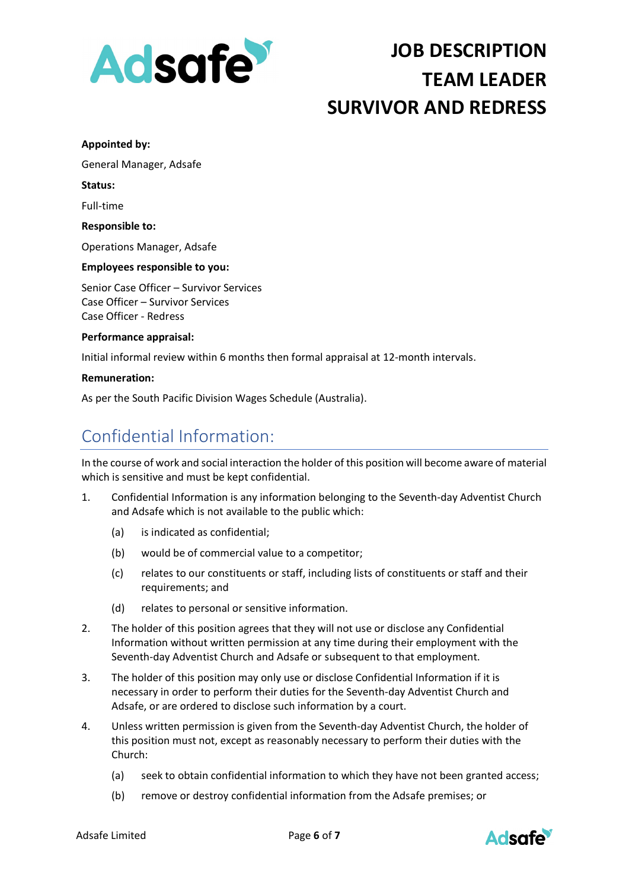

#### **Appointed by:**

General Manager, Adsafe

#### **Status:**

Full-time

#### **Responsible to:**

Operations Manager, Adsafe

### **Employees responsible to you:**

Senior Case Officer – Survivor Services Case Officer – Survivor Services Case Officer - Redress

#### **Performance appraisal:**

Initial informal review within 6 months then formal appraisal at 12-month intervals.

#### **Remuneration:**

As per the South Pacific Division Wages Schedule (Australia).

## Confidential Information:

In the course of work and social interaction the holder of this position will become aware of material which is sensitive and must be kept confidential.

- 1. Confidential Information is any information belonging to the Seventh-day Adventist Church and Adsafe which is not available to the public which:
	- (a) is indicated as confidential;
	- (b) would be of commercial value to a competitor;
	- (c) relates to our constituents or staff, including lists of constituents or staff and their requirements; and
	- (d) relates to personal or sensitive information.
- 2. The holder of this position agrees that they will not use or disclose any Confidential Information without written permission at any time during their employment with the Seventh-day Adventist Church and Adsafe or subsequent to that employment.
- 3. The holder of this position may only use or disclose Confidential Information if it is necessary in order to perform their duties for the Seventh-day Adventist Church and Adsafe, or are ordered to disclose such information by a court.
- 4. Unless written permission is given from the Seventh-day Adventist Church, the holder of this position must not, except as reasonably necessary to perform their duties with the Church:
	- (a) seek to obtain confidential information to which they have not been granted access;
	- (b) remove or destroy confidential information from the Adsafe premises; or